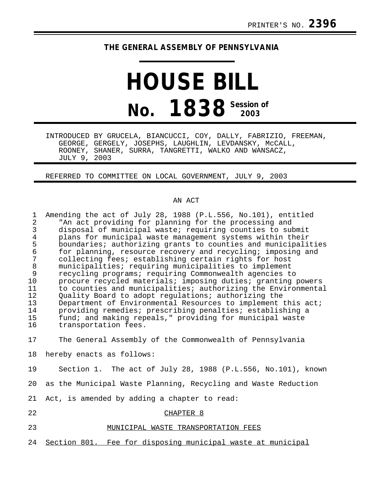## **THE GENERAL ASSEMBLY OF PENNSYLVANIA**

## **HOUSE BILL No. 1838 Session of 2003**

INTRODUCED BY GRUCELA, BIANCUCCI, COY, DALLY, FABRIZIO, FREEMAN, GEORGE, GERGELY, JOSEPHS, LAUGHLIN, LEVDANSKY, McCALL, ROONEY, SHANER, SURRA, TANGRETTI, WALKO AND WANSACZ, JULY 9, 2003

REFERRED TO COMMITTEE ON LOCAL GOVERNMENT, JULY 9, 2003

## AN ACT

| $\mathbf 1$<br>$\overline{2}$ | Amending the act of July 28, 1988 (P.L.556, No.101), entitled<br>"An act providing for planning for the processing and |
|-------------------------------|------------------------------------------------------------------------------------------------------------------------|
| 3                             | disposal of municipal waste; requiring counties to submit                                                              |
| $\overline{4}$                | plans for municipal waste management systems within their                                                              |
| 5                             | boundaries; authorizing grants to counties and municipalities                                                          |
| 6                             | for planning, resource recovery and recycling; imposing and                                                            |
| $\overline{7}$<br>$\,8\,$     | collecting fees; establishing certain rights for host<br>municipalities; requiring municipalities to implement         |
| 9                             | recycling programs; requiring Commonwealth agencies to                                                                 |
| 10                            | procure recycled materials; imposing duties; granting powers                                                           |
| 11                            | to counties and municipalities; authorizing the Environmental                                                          |
| 12                            | Quality Board to adopt regulations; authorizing the                                                                    |
| 13                            | Department of Environmental Resources to implement this act;                                                           |
| 14                            | providing remedies; prescribing penalties; establishing a                                                              |
| 15                            | fund; and making repeals," providing for municipal waste                                                               |
| 16                            | transportation fees.                                                                                                   |
| 17                            | The General Assembly of the Commonwealth of Pennsylvania                                                               |
| 18                            | hereby enacts as follows:                                                                                              |
| 19                            | Section 1. The act of July 28, 1988 (P.L.556, No.101), known                                                           |
| 20                            | as the Municipal Waste Planning, Recycling and Waste Reduction                                                         |
| 21                            | Act, is amended by adding a chapter to read:                                                                           |
| 22                            | CHAPTER 8                                                                                                              |
| 23                            | MUNICIPAL WASTE TRANSPORTATION FEES                                                                                    |
| 24                            | Section 801. Fee for disposing municipal waste at municipal                                                            |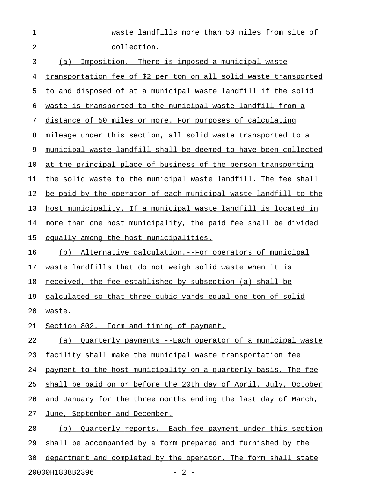| 1              | waste landfills more than 50 miles from site of                       |
|----------------|-----------------------------------------------------------------------|
| $\overline{2}$ | collection.                                                           |
| 3              | Imposition.--There is imposed a municipal waste<br>(a)                |
| 4              | transportation fee of \$2 per ton on all solid waste transported      |
| 5              | to and disposed of at a municipal waste landfill if the solid         |
| 6              | waste is transported to the municipal waste landfill from a           |
| 7              | distance of 50 miles or more. For purposes of calculating             |
| 8              | mileage under this section, all solid waste transported to a          |
| 9              | municipal waste landfill shall be deemed to have been collected       |
| 10             | at the principal place of business of the person transporting         |
| 11             | the solid waste to the municipal waste landfill. The fee shall        |
| 12             | be paid by the operator of each municipal waste landfill to the       |
| 13             | host municipality. If a municipal waste landfill is located in        |
| 14             | more than one host municipality, the paid fee shall be divided        |
| 15             | equally among the host municipalities.                                |
| 16             | (b) Alternative calculation. -- For operators of municipal            |
| 17             | waste landfills that do not weigh solid waste when it is              |
| 18             | received, the fee established by subsection (a) shall be              |
| 19             | calculated so that three cubic yards equal one ton of solid           |
| 20             | waste.                                                                |
| 21             | Section 802. Form and timing of payment.                              |
| 22             | (a) Ouarterly payments.--Each operator of a municipal waste           |
| 23             | facility shall make the municipal waste transportation fee            |
| 24             | payment to the host municipality on a quarterly basis. The fee        |
| 25             | shall be paid on or before the 20th day of April, July, October       |
| 26             | and January for the three months ending the last day of March,        |
| 27             | June, September and December.                                         |
| 28             | <u>Ouarterly reports.--Each fee payment under this section</u><br>(b) |
| 29             | shall be accompanied by a form prepared and furnished by the          |
| 30             | department and completed by the operator. The form shall state        |

20030H1838B2396 - 2 -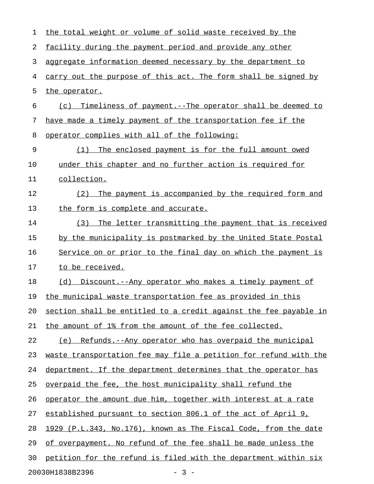| 1  | the total weight or volume of solid waste received by the        |
|----|------------------------------------------------------------------|
| 2  | facility during the payment period and provide any other         |
| 3  | aggregate information deemed necessary by the department to      |
| 4  | carry out the purpose of this act. The form shall be signed by   |
| 5  | the operator.                                                    |
| 6  | (c) Timeliness of payment.--The operator shall be deemed to      |
| 7  | have made a timely payment of the transportation fee if the      |
| 8  | operator complies with all of the following:                     |
| 9  | The enclosed payment is for the full amount owed<br>(1)          |
| 10 | under this chapter and no further action is required for         |
| 11 | collection.                                                      |
| 12 | The payment is accompanied by the required form and<br>(2)       |
| 13 | the form is complete and accurate.                               |
| 14 | The letter transmitting the payment that is received<br>(3)      |
| 15 | by the municipality is postmarked by the United State Postal     |
| 16 | Service on or prior to the final day on which the payment is     |
| 17 | to be received.                                                  |
| 18 | (d) Discount.--Any operator who makes a timely payment of        |
| 19 | the municipal waste transportation fee as provided in this       |
| 20 | section shall be entitled to a credit against the fee payable in |
| 21 | the amount of 1% from the amount of the fee collected.           |
| 22 | Refunds.--Any operator who has overpaid the municipal<br>(e)     |
| 23 | waste transportation fee may file a petition for refund with the |
| 24 | department. If the department determines that the operator has   |
| 25 | overpaid the fee, the host municipality shall refund the         |
| 26 | operator the amount due him, together with interest at a rate    |
| 27 | established pursuant to section 806.1 of the act of April 9,     |
| 28 | 1929 (P.L.343, No.176), known as The Fiscal Code, from the date  |
| 29 | of overpayment. No refund of the fee shall be made unless the    |
| 30 | petition for the refund is filed with the department within six  |
|    | 20030H1838B2396<br>$-3-$                                         |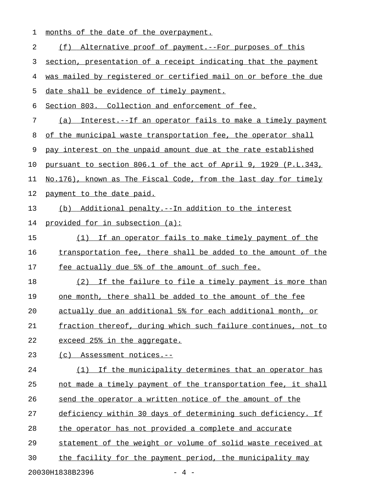| 1  | months of the date of the overpayment.                          |
|----|-----------------------------------------------------------------|
| 2  | (f) Alternative proof of payment.--For purposes of this         |
| 3  | section, presentation of a receipt indicating that the payment  |
| 4  | was mailed by registered or certified mail on or before the due |
| 5  | date shall be evidence of timely payment.                       |
| 6  | Section 803. Collection and enforcement of fee.                 |
| 7  | (a) Interest.--If an operator fails to make a timely payment    |
| 8  | of the municipal waste transportation fee, the operator shall   |
| 9  | pay interest on the unpaid amount due at the rate established   |
| 10 | pursuant to section 806.1 of the act of April 9, 1929 (P.L.343, |
| 11 | No.176), known as The Fiscal Code, from the last day for timely |
| 12 | payment to the date paid.                                       |
| 13 | (b) Additional penalty.--In addition to the interest            |
| 14 | provided for in subsection (a):                                 |
| 15 | (1) If an operator fails to make timely payment of the          |
| 16 | transportation fee, there shall be added to the amount of the   |
| 17 | fee actually due 5% of the amount of such fee.                  |
| 18 | (2) If the failure to file a timely payment is more than        |
| 19 | one month, there shall be added to the amount of the fee        |
| 20 | actually due an additional 5% for each additional month, or     |
| 21 | fraction thereof, during which such failure continues, not to   |
| 22 | exceed 25% in the aggregate.                                    |
| 23 | Assessment notices.--<br>(c)                                    |
| 24 | (1) If the municipality determines that an operator has         |
| 25 | not made a timely payment of the transportation fee, it shall   |
| 26 | send the operator a written notice of the amount of the         |
| 27 | deficiency within 30 days of determining such deficiency. If    |
| 28 | the operator has not provided a complete and accurate           |
| 29 | statement of the weight or volume of solid waste received at    |
| 30 | the facility for the payment period, the municipality may       |
|    | 20030H1838B2396<br>$-4-$                                        |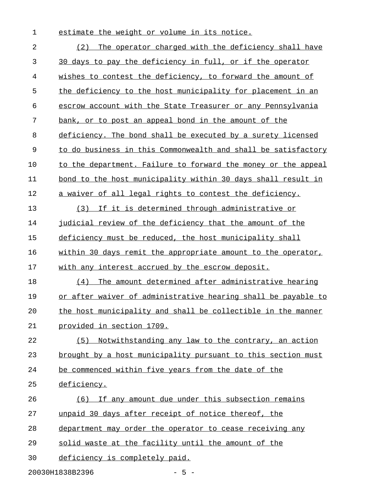1 estimate the weight or volume in its notice.

| $\overline{2}$ | The operator charged with the deficiency shall have<br>(2)    |
|----------------|---------------------------------------------------------------|
| 3              | 30 days to pay the deficiency in full, or if the operator     |
| 4              | wishes to contest the deficiency, to forward the amount of    |
| 5              | the deficiency to the host municipality for placement in an   |
| 6              | escrow account with the State Treasurer or any Pennsylvania   |
| 7              | bank, or to post an appeal bond in the amount of the          |
| 8              | deficiency. The bond shall be executed by a surety licensed   |
| $\mathsf 9$    | to do business in this Commonwealth and shall be satisfactory |
| 10             | to the department. Failure to forward the money or the appeal |
| 11             | bond to the host municipality within 30 days shall result in  |
| 12             | a waiver of all legal rights to contest the deficiency.       |
| 13             | If it is determined through administrative or<br>(3)          |
| 14             | judicial review of the deficiency that the amount of the      |
| 15             | deficiency must be reduced, the host municipality shall       |
| 16             | within 30 days remit the appropriate amount to the operator,  |
| 17             | with any interest accrued by the escrow deposit.              |
| 18             | The amount determined after administrative hearing<br>(4)     |
| 19             | or after waiver of administrative hearing shall be payable to |
| 20             | the host municipality and shall be collectible in the manner  |
| 21             | provided in section 1709.                                     |
| 22             | Notwithstanding any law to the contrary, an action<br>(5)     |
| 23             | brought by a host municipality pursuant to this section must  |
| 24             | be commenced within five years from the date of the           |
| 25             | deficiency.                                                   |
| 26             | (6) If any amount due under this subsection remains           |
| 27             | unpaid 30 days after receipt of notice thereof, the           |
| 28             | department may order the operator to cease receiving any      |
| 29             | solid waste at the facility until the amount of the           |
| 30             | deficiency is completely paid.                                |
|                |                                                               |

20030H1838B2396 - 5 -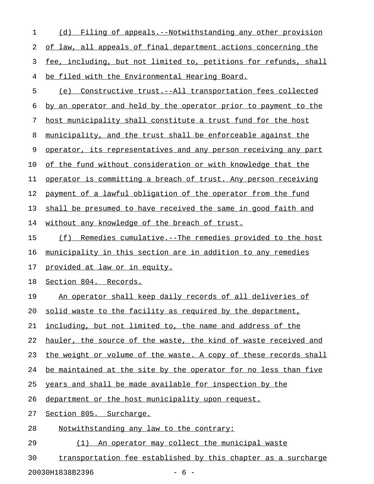| 1  | (d) Filing of appeals.--Notwithstanding any other provision           |
|----|-----------------------------------------------------------------------|
| 2  | of law, all appeals of final department actions concerning the        |
| 3  | fee, including, but not limited to, petitions for refunds, shall      |
| 4  | be filed with the Environmental Hearing Board.                        |
| 5  | (e) Constructive trust.--All transportation fees collected            |
| 6  | by an operator and held by the operator prior to payment to the       |
| 7  | host municipality shall constitute a trust fund for the host          |
| 8  | municipality, and the trust shall be enforceable against the          |
| 9  | operator, its representatives and any person receiving any part       |
| 10 | of the fund without consideration or with knowledge that the          |
| 11 | operator is committing a breach of trust. Any person receiving        |
| 12 | payment of a lawful obligation of the operator from the fund          |
| 13 | shall be presumed to have received the same in good faith and         |
| 14 | without any knowledge of the breach of trust.                         |
| 15 | (f)<br><u>Remedies cumulative.--The remedies provided to the host</u> |
| 16 | municipality in this section are in addition to any remedies          |
| 17 | provided at law or in equity.                                         |
| 18 | Section 804. Records.                                                 |
| 19 | An operator shall keep daily records of all deliveries of             |
| 20 | solid waste to the facility as required by the department,            |
| 21 | including, but not limited to, the name and address of the            |
| 22 | hauler, the source of the waste, the kind of waste received and       |
| 23 | the weight or volume of the waste. A copy of these records shall      |
| 24 | be maintained at the site by the operator for no less than five       |
| 25 | years and shall be made available for inspection by the               |
| 26 | department or the host municipality upon request.                     |
| 27 | Section 805. Surcharge.                                               |
| 28 | Notwithstanding any law to the contrary:                              |

29 (1) An operator may collect the municipal waste

30 transportation fee established by this chapter as a surcharge

20030H1838B2396 - 6 -